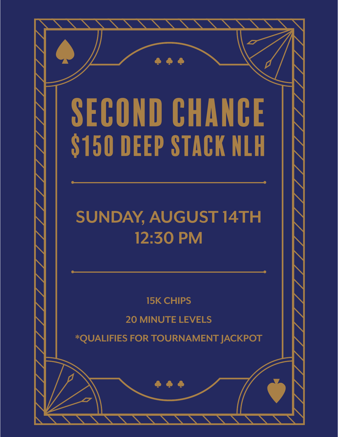